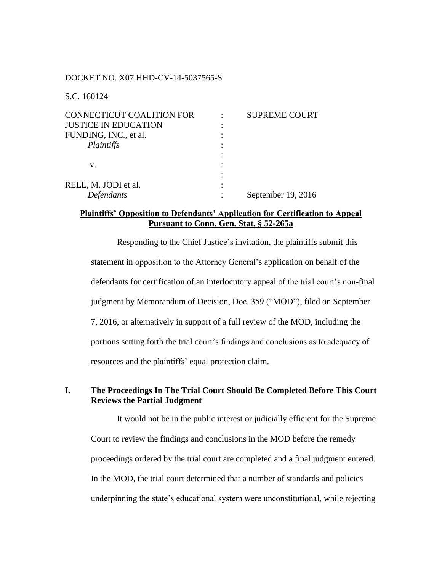#### DOCKET NO. X07 HHD-CV-14-5037565-S

S.C. 160124

| <b>CONNECTICUT COALITION FOR</b> | <b>SUPREME COURT</b> |
|----------------------------------|----------------------|
| <b>JUSTICE IN EDUCATION</b>      |                      |
| FUNDING, INC., et al.            |                      |
| Plaintiffs                       |                      |
|                                  |                      |
| v.                               |                      |
|                                  |                      |
| RELL, M. JODI et al.             |                      |
| Defendants                       | September 19, 2016   |

## **Plaintiffs' Opposition to Defendants' Application for Certification to Appeal Pursuant to Conn. Gen. Stat. § 52-265a**

Responding to the Chief Justice's invitation, the plaintiffs submit this statement in opposition to the Attorney General's application on behalf of the defendants for certification of an interlocutory appeal of the trial court's non-final judgment by Memorandum of Decision, Doc. 359 ("MOD"), filed on September 7, 2016, or alternatively in support of a full review of the MOD, including the portions setting forth the trial court's findings and conclusions as to adequacy of resources and the plaintiffs' equal protection claim.

# **I. The Proceedings In The Trial Court Should Be Completed Before This Court Reviews the Partial Judgment**

It would not be in the public interest or judicially efficient for the Supreme Court to review the findings and conclusions in the MOD before the remedy proceedings ordered by the trial court are completed and a final judgment entered. In the MOD, the trial court determined that a number of standards and policies underpinning the state's educational system were unconstitutional, while rejecting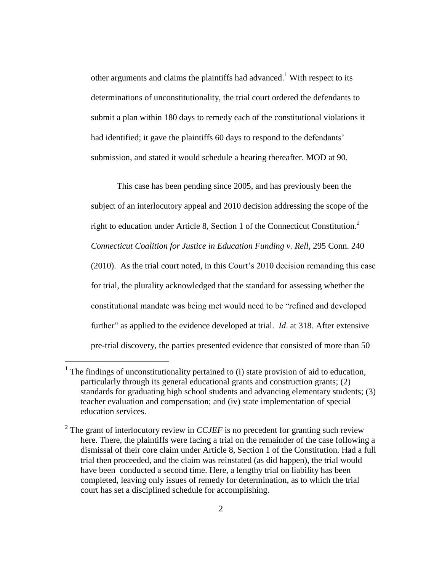other arguments and claims the plaintiffs had advanced.<sup>1</sup> With respect to its determinations of unconstitutionality, the trial court ordered the defendants to submit a plan within 180 days to remedy each of the constitutional violations it had identified; it gave the plaintiffs 60 days to respond to the defendants' submission, and stated it would schedule a hearing thereafter. MOD at 90.

This case has been pending since 2005, and has previously been the subject of an interlocutory appeal and 2010 decision addressing the scope of the right to education under Article 8, Section 1 of the Connecticut Constitution. 2 *Connecticut Coalition for Justice in Education Funding v. Rell*, 295 Conn. 240 (2010). As the trial court noted, in this Court's 2010 decision remanding this case for trial, the plurality acknowledged that the standard for assessing whether the constitutional mandate was being met would need to be "refined and developed further" as applied to the evidence developed at trial. *Id*. at 318. After extensive pre-trial discovery, the parties presented evidence that consisted of more than 50

 $\overline{a}$ 

 $<sup>1</sup>$  The findings of unconstitutionality pertained to (i) state provision of aid to education,</sup> particularly through its general educational grants and construction grants; (2) standards for graduating high school students and advancing elementary students; (3) teacher evaluation and compensation; and (iv) state implementation of special education services.

<sup>&</sup>lt;sup>2</sup> The grant of interlocutory review in *CCJEF* is no precedent for granting such review here. There, the plaintiffs were facing a trial on the remainder of the case following a dismissal of their core claim under Article 8, Section 1 of the Constitution. Had a full trial then proceeded, and the claim was reinstated (as did happen), the trial would have been conducted a second time. Here, a lengthy trial on liability has been completed, leaving only issues of remedy for determination, as to which the trial court has set a disciplined schedule for accomplishing.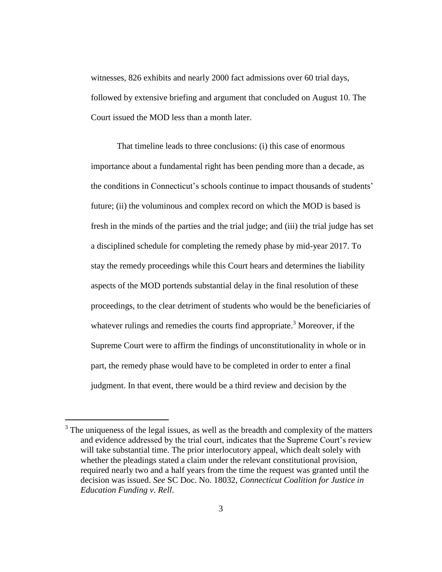witnesses, 826 exhibits and nearly 2000 fact admissions over 60 trial days, followed by extensive briefing and argument that concluded on August 10. The Court issued the MOD less than a month later.

That timeline leads to three conclusions: (i) this case of enormous importance about a fundamental right has been pending more than a decade, as the conditions in Connecticut's schools continue to impact thousands of students' future; (ii) the voluminous and complex record on which the MOD is based is fresh in the minds of the parties and the trial judge; and (iii) the trial judge has set a disciplined schedule for completing the remedy phase by mid-year 2017. To stay the remedy proceedings while this Court hears and determines the liability aspects of the MOD portends substantial delay in the final resolution of these proceedings, to the clear detriment of students who would be the beneficiaries of whatever rulings and remedies the courts find appropriate.<sup>3</sup> Moreover, if the Supreme Court were to affirm the findings of unconstitutionality in whole or in part, the remedy phase would have to be completed in order to enter a final judgment. In that event, there would be a third review and decision by the

 $\overline{a}$ 

 $3$  The uniqueness of the legal issues, as well as the breadth and complexity of the matters and evidence addressed by the trial court, indicates that the Supreme Court's review will take substantial time. The prior interlocutory appeal, which dealt solely with whether the pleadings stated a claim under the relevant constitutional provision, required nearly two and a half years from the time the request was granted until the decision was issued. *See* SC Doc. No. 18032, *Connecticut Coalition for Justice in Education Funding v. Rell*.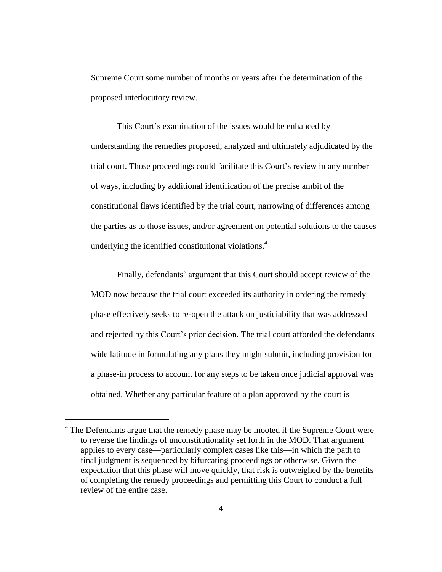Supreme Court some number of months or years after the determination of the proposed interlocutory review.

This Court's examination of the issues would be enhanced by understanding the remedies proposed, analyzed and ultimately adjudicated by the trial court. Those proceedings could facilitate this Court's review in any number of ways, including by additional identification of the precise ambit of the constitutional flaws identified by the trial court, narrowing of differences among the parties as to those issues, and/or agreement on potential solutions to the causes underlying the identified constitutional violations.<sup>4</sup>

Finally, defendants' argument that this Court should accept review of the MOD now because the trial court exceeded its authority in ordering the remedy phase effectively seeks to re-open the attack on justiciability that was addressed and rejected by this Court's prior decision. The trial court afforded the defendants wide latitude in formulating any plans they might submit, including provision for a phase-in process to account for any steps to be taken once judicial approval was obtained. Whether any particular feature of a plan approved by the court is

 $\overline{a}$ 

 $4$  The Defendants argue that the remedy phase may be mooted if the Supreme Court were to reverse the findings of unconstitutionality set forth in the MOD. That argument applies to every case—particularly complex cases like this—in which the path to final judgment is sequenced by bifurcating proceedings or otherwise. Given the expectation that this phase will move quickly, that risk is outweighed by the benefits of completing the remedy proceedings and permitting this Court to conduct a full review of the entire case.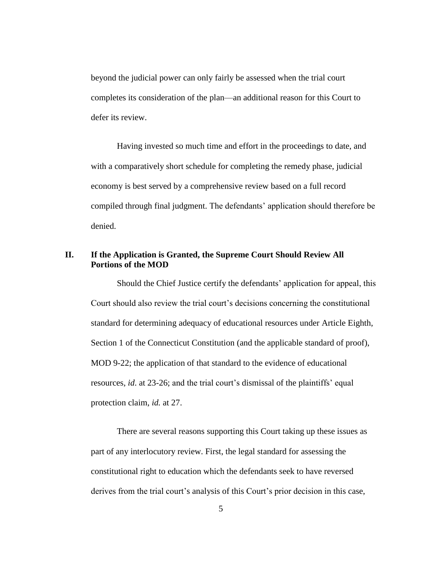beyond the judicial power can only fairly be assessed when the trial court completes its consideration of the plan—an additional reason for this Court to defer its review.

Having invested so much time and effort in the proceedings to date, and with a comparatively short schedule for completing the remedy phase, judicial economy is best served by a comprehensive review based on a full record compiled through final judgment. The defendants' application should therefore be denied.

# **II. If the Application is Granted, the Supreme Court Should Review All Portions of the MOD**

Should the Chief Justice certify the defendants' application for appeal, this Court should also review the trial court's decisions concerning the constitutional standard for determining adequacy of educational resources under Article Eighth, Section 1 of the Connecticut Constitution (and the applicable standard of proof), MOD 9-22; the application of that standard to the evidence of educational resources, *id*. at 23-26; and the trial court's dismissal of the plaintiffs' equal protection claim, *id.* at 27.

There are several reasons supporting this Court taking up these issues as part of any interlocutory review. First, the legal standard for assessing the constitutional right to education which the defendants seek to have reversed derives from the trial court's analysis of this Court's prior decision in this case,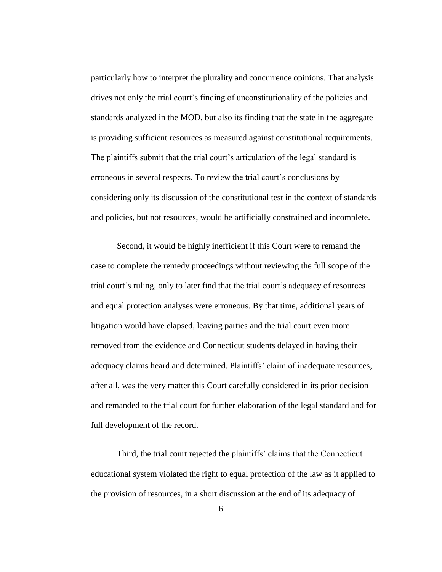particularly how to interpret the plurality and concurrence opinions. That analysis drives not only the trial court's finding of unconstitutionality of the policies and standards analyzed in the MOD, but also its finding that the state in the aggregate is providing sufficient resources as measured against constitutional requirements. The plaintiffs submit that the trial court's articulation of the legal standard is erroneous in several respects. To review the trial court's conclusions by considering only its discussion of the constitutional test in the context of standards and policies, but not resources, would be artificially constrained and incomplete.

Second, it would be highly inefficient if this Court were to remand the case to complete the remedy proceedings without reviewing the full scope of the trial court's ruling, only to later find that the trial court's adequacy of resources and equal protection analyses were erroneous. By that time, additional years of litigation would have elapsed, leaving parties and the trial court even more removed from the evidence and Connecticut students delayed in having their adequacy claims heard and determined. Plaintiffs' claim of inadequate resources, after all, was the very matter this Court carefully considered in its prior decision and remanded to the trial court for further elaboration of the legal standard and for full development of the record.

Third, the trial court rejected the plaintiffs' claims that the Connecticut educational system violated the right to equal protection of the law as it applied to the provision of resources, in a short discussion at the end of its adequacy of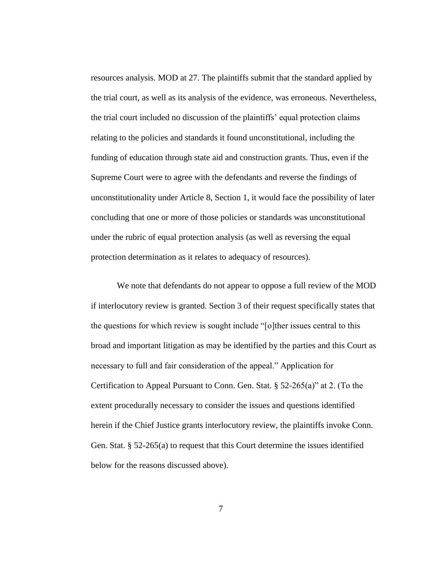resources analysis. MOD at 27. The plaintiffs submit that the standard applied by the trial court, as well as its analysis of the evidence, was erroneous. Nevertheless, the trial court included no discussion of the plaintiffs' equal protection claims relating to the policies and standards it found unconstitutional, including the funding of education through state aid and construction grants. Thus, even if the Supreme Court were to agree with the defendants and reverse the findings of unconstitutionality under Article 8, Section 1, it would face the possibility of later concluding that one or more of those policies or standards was unconstitutional under the rubric of equal protection analysis (as well as reversing the equal protection determination as it relates to adequacy of resources).

We note that defendants do not appear to oppose a full review of the MOD if interlocutory review is granted. Section 3 of their request specifically states that the questions for which review is sought include "[o]ther issues central to this broad and important litigation as may be identified by the parties and this Court as necessary to full and fair consideration of the appeal." Application for Certification to Appeal Pursuant to Conn. Gen. Stat. § 52-265(a)" at 2. (To the extent procedurally necessary to consider the issues and questions identified herein if the Chief Justice grants interlocutory review, the plaintiffs invoke Conn. Gen. Stat. § 52-265(a) to request that this Court determine the issues identified below for the reasons discussed above).

7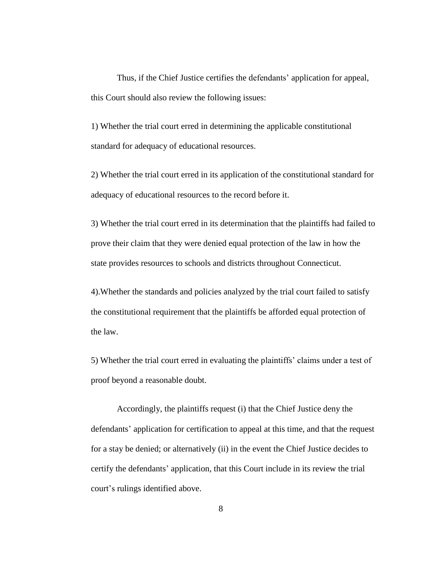Thus, if the Chief Justice certifies the defendants' application for appeal, this Court should also review the following issues:

1) Whether the trial court erred in determining the applicable constitutional standard for adequacy of educational resources.

2) Whether the trial court erred in its application of the constitutional standard for adequacy of educational resources to the record before it.

3) Whether the trial court erred in its determination that the plaintiffs had failed to prove their claim that they were denied equal protection of the law in how the state provides resources to schools and districts throughout Connecticut.

4).Whether the standards and policies analyzed by the trial court failed to satisfy the constitutional requirement that the plaintiffs be afforded equal protection of the law.

5) Whether the trial court erred in evaluating the plaintiffs' claims under a test of proof beyond a reasonable doubt.

Accordingly, the plaintiffs request (i) that the Chief Justice deny the defendants' application for certification to appeal at this time, and that the request for a stay be denied; or alternatively (ii) in the event the Chief Justice decides to certify the defendants' application, that this Court include in its review the trial court's rulings identified above.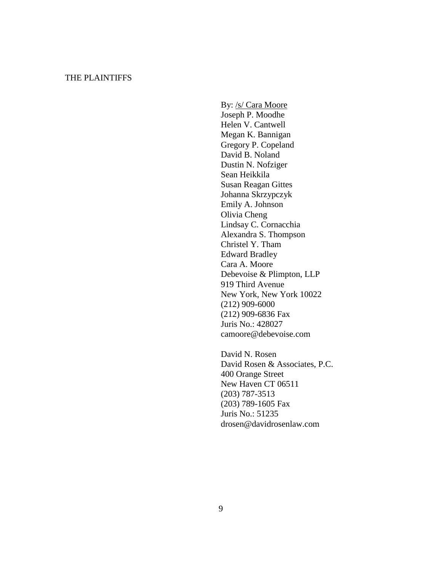## THE PLAINTIFFS

By: /s/ Cara Moore Joseph P. Moodhe Helen V. Cantwell Megan K. Bannigan Gregory P. Copeland David B. Noland Dustin N. Nofziger Sean Heikkila Susan Reagan Gittes Johanna Skrzypczyk Emily A. Johnson Olivia Cheng Lindsay C. Cornacchia Alexandra S. Thompson Christel Y. Tham Edward Bradley Cara A. Moore Debevoise & Plimpton, LLP 919 Third Avenue New York, New York 10022 (212) 909-6000 (212) 909-6836 Fax Juris No.: 428027 camoore@debevoise.com

David N. Rosen David Rosen & Associates, P.C. 400 Orange Street New Haven CT 06511 (203) 787-3513 (203) 789-1605 Fax Juris No.: 51235 drosen@davidrosenlaw.com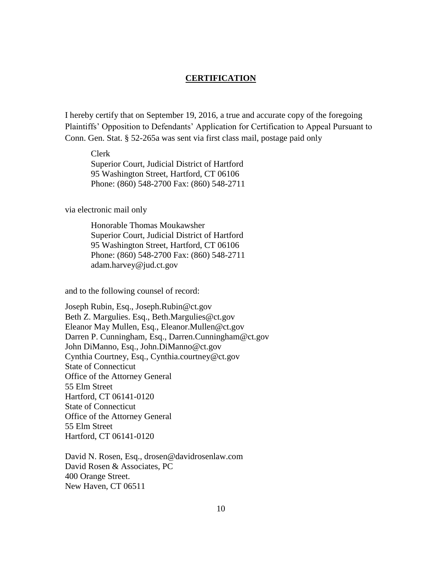#### **CERTIFICATION**

I hereby certify that on September 19, 2016, a true and accurate copy of the foregoing Plaintiffs' Opposition to Defendants' Application for Certification to Appeal Pursuant to Conn. Gen. Stat. § 52-265a was sent via first class mail, postage paid only

Clerk Superior Court, Judicial District of Hartford 95 Washington Street, Hartford, CT 06106 Phone: (860) 548-2700 Fax: (860) 548-2711

via electronic mail only

Honorable Thomas Moukawsher Superior Court, Judicial District of Hartford 95 Washington Street, Hartford, CT 06106 Phone: (860) 548-2700 Fax: (860) 548-2711 adam.harvey@jud.ct.gov

and to the following counsel of record:

Joseph Rubin, Esq., Joseph.Rubin@ct.gov Beth Z. Margulies. Esq., Beth.Margulies@ct.gov Eleanor May Mullen, Esq., Eleanor.Mullen@ct.gov Darren P. Cunningham, Esq., Darren.Cunningham@ct.gov John DiManno, Esq., John.DiManno@ct.gov Cynthia Courtney, Esq., Cynthia.courtney@ct.gov State of Connecticut Office of the Attorney General 55 Elm Street Hartford, CT 06141-0120 State of Connecticut Office of the Attorney General 55 Elm Street Hartford, CT 06141-0120

David N. Rosen, Esq., drosen@davidrosenlaw.com David Rosen & Associates, PC 400 Orange Street. New Haven, CT 06511